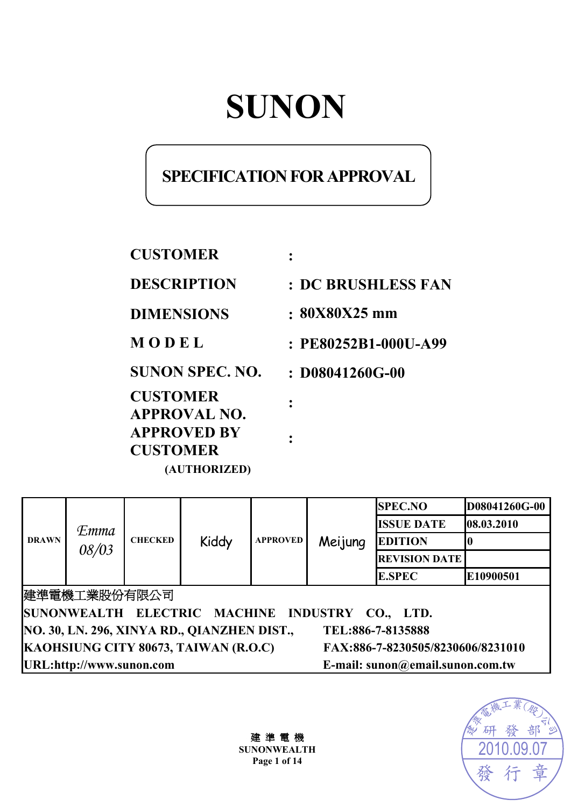# **SUNON**

## **SPECIFICATION FOR APPROVAL**

**CUSTOMER : DESCRIPTION : DC BRUSHLESS FAN** 

**DIMENSIONS : 80X80X25 mm** 

**:** 

**:** 

**M O D E L : PE80252B1-000U-A99**

**SUNON SPEC. NO. : D08041260G-00** 

**CUSTOMER APPROVAL NO. APPROVED BY CUSTOMER (AUTHORIZED)** 

| <b>DRAWN</b>                                                              | <b>Emma</b><br>08/03 | <b>CHECKED</b> | Kiddy | <b>APPROVED</b> | Meijung                          | <b>SPEC.NO</b>       | D08041260G-00 |
|---------------------------------------------------------------------------|----------------------|----------------|-------|-----------------|----------------------------------|----------------------|---------------|
|                                                                           |                      |                |       |                 |                                  | <b>ISSUE DATE</b>    | 08.03.2010    |
|                                                                           |                      |                |       |                 |                                  | <b>EDITION</b>       |               |
|                                                                           |                      |                |       |                 |                                  | <b>REVISION DATE</b> |               |
|                                                                           |                      |                |       |                 |                                  | <b>E.SPEC</b>        | E10900501     |
| 建準電機工業股份有限公司                                                              |                      |                |       |                 |                                  |                      |               |
| SUNONWEALTH ELECTRIC MACHINE<br>INDUSTRY CO., LTD.                        |                      |                |       |                 |                                  |                      |               |
| NO. 30, LN. 296, XINYA RD., QIANZHEN DIST.,<br>TEL:886-7-8135888          |                      |                |       |                 |                                  |                      |               |
| KAOHSIUNG CITY 80673, TAIWAN (R.O.C)<br>FAX:886-7-8230505/8230606/8231010 |                      |                |       |                 |                                  |                      |               |
| URL:http://www.sunon.com                                                  |                      |                |       |                 | E-mail: sunon@email.sunon.com.tw |                      |               |

建 準 電 機 **SUNONWEALTH Page 1 of 14**

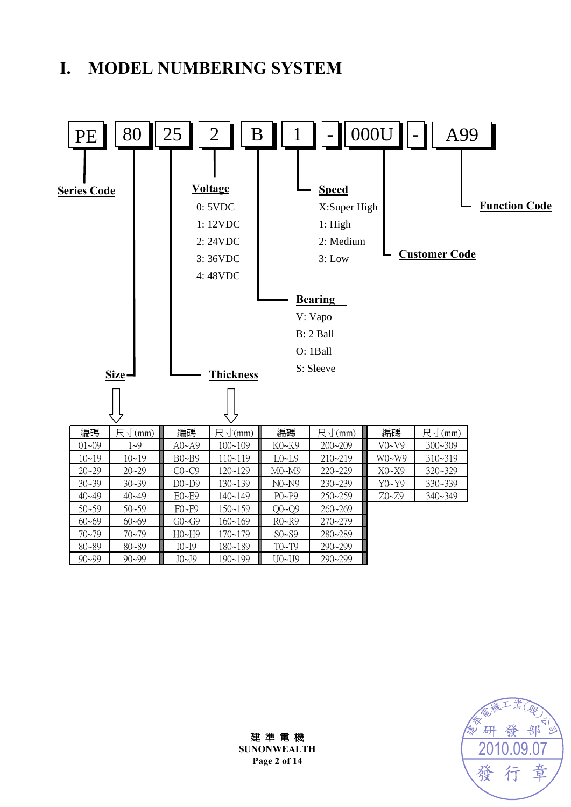## **I. MODEL NUMBERING SYSTEM**



發 部 研 2010.09.07章 發

建 準 電 機 **SUNONWEALTH Page 2 of 14**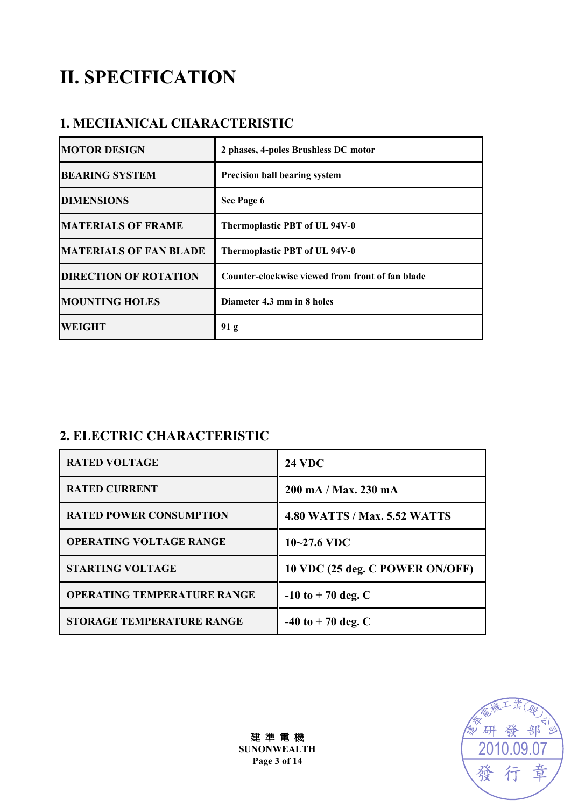## **II. SPECIFICATION**

### **1. MECHANICAL CHARACTERISTIC**

| <b>MOTOR DESIGN</b>           | 2 phases, 4-poles Brushless DC motor             |
|-------------------------------|--------------------------------------------------|
| <b>BEARING SYSTEM</b>         | <b>Precision ball bearing system</b>             |
| <b>DIMENSIONS</b>             | See Page 6                                       |
| <b>MATERIALS OF FRAME</b>     | Thermoplastic PBT of UL 94V-0                    |
| <b>MATERIALS OF FAN BLADE</b> | Thermoplastic PBT of UL 94V-0                    |
| <b>DIRECTION OF ROTATION</b>  | Counter-clockwise viewed from front of fan blade |
| <b>MOUNTING HOLES</b>         | Diameter 4.3 mm in 8 holes                       |
| <b>WEIGHT</b>                 | 91 <sub>g</sub>                                  |

## **2. ELECTRIC CHARACTERISTIC**

| <b>RATED VOLTAGE</b>               | <b>24 VDC</b>                       |
|------------------------------------|-------------------------------------|
| <b>RATED CURRENT</b>               | 200 mA / Max. 230 mA                |
| <b>RATED POWER CONSUMPTION</b>     | <b>4.80 WATTS / Max. 5.52 WATTS</b> |
| <b>OPERATING VOLTAGE RANGE</b>     | $10 - 27.6$ VDC                     |
| <b>STARTING VOLTAGE</b>            | 10 VDC (25 deg. C POWER ON/OFF)     |
| <b>OPERATING TEMPERATURE RANGE</b> | $-10$ to $+70$ deg. C               |
| <b>STORAGE TEMPERATURE RANGE</b>   | $-40$ to $+70$ deg. C               |

 $\overline{h}$ 20 巯

建 準 電 機 **SUNONWEALTH Page 3 of 14**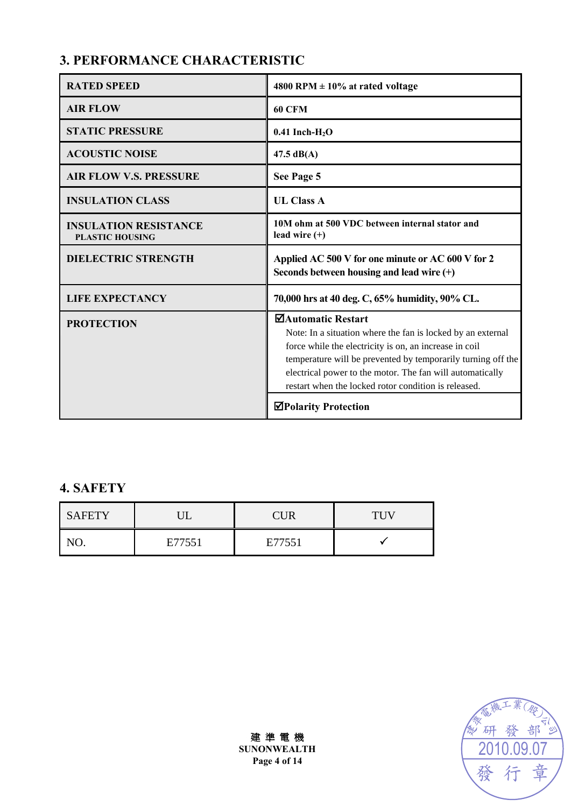## **3. PERFORMANCE CHARACTERISTIC**

| <b>RATED SPEED</b>                                     | 4800 RPM $\pm$ 10% at rated voltage                                                                                                                                                                                                                                                                                              |
|--------------------------------------------------------|----------------------------------------------------------------------------------------------------------------------------------------------------------------------------------------------------------------------------------------------------------------------------------------------------------------------------------|
| <b>AIR FLOW</b>                                        | <b>60 CFM</b>                                                                                                                                                                                                                                                                                                                    |
| <b>STATIC PRESSURE</b>                                 | $0.41$ Inch-H <sub>2</sub> O                                                                                                                                                                                                                                                                                                     |
| <b>ACOUSTIC NOISE</b>                                  | $47.5 \text{ dB}(A)$                                                                                                                                                                                                                                                                                                             |
| <b>AIR FLOW V.S. PRESSURE</b>                          | See Page 5                                                                                                                                                                                                                                                                                                                       |
| <b>INSULATION CLASS</b>                                | <b>UL Class A</b>                                                                                                                                                                                                                                                                                                                |
| <b>INSULATION RESISTANCE</b><br><b>PLASTIC HOUSING</b> | 10M ohm at 500 VDC between internal stator and<br>lead wire $(+)$                                                                                                                                                                                                                                                                |
| <b>DIELECTRIC STRENGTH</b>                             | Applied AC 500 V for one minute or AC 600 V for 2<br>Seconds between housing and lead wire $(+)$                                                                                                                                                                                                                                 |
| <b>LIFE EXPECTANCY</b>                                 | 70,000 hrs at 40 deg. C, 65% humidity, 90% CL.                                                                                                                                                                                                                                                                                   |
| <b>PROTECTION</b>                                      | ⊠Automatic Restart<br>Note: In a situation where the fan is locked by an external<br>force while the electricity is on, an increase in coil<br>temperature will be prevented by temporarily turning off the<br>electrical power to the motor. The fan will automatically<br>restart when the locked rotor condition is released. |
|                                                        | <b>⊠Polarity Protection</b>                                                                                                                                                                                                                                                                                                      |

## **4. SAFETY**

| <b>SAFETY</b> |        | CUR    |  |
|---------------|--------|--------|--|
|               | E77551 | E77551 |  |

部 研 發 2010.09.07章 發

建 準 電 機 **SUNONWEALTH Page 4 of 14**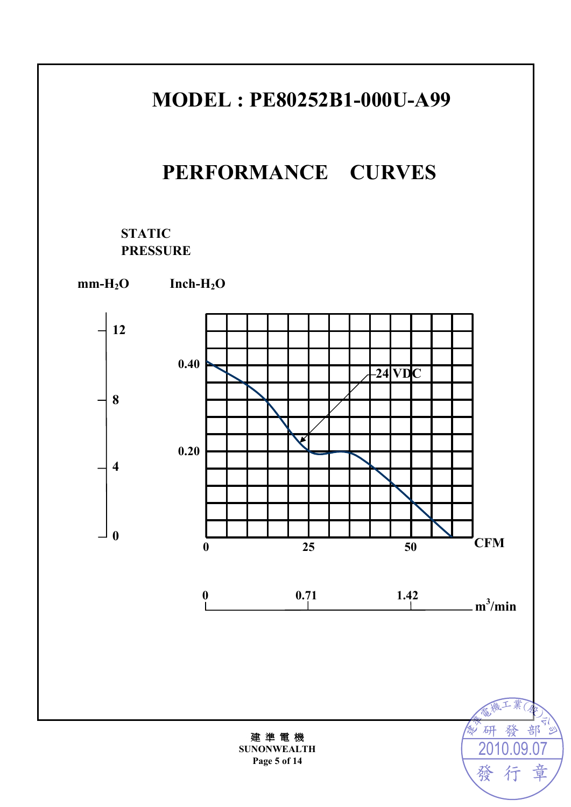## **MODEL : PE80252B1-000U-A99**

## **PERFORMANCE CURVES**

### **STATIC PRESSURE**



建 準 電 機 **SUNONWEALTH Page 5 of 14** 

2010.09.07

行

章

發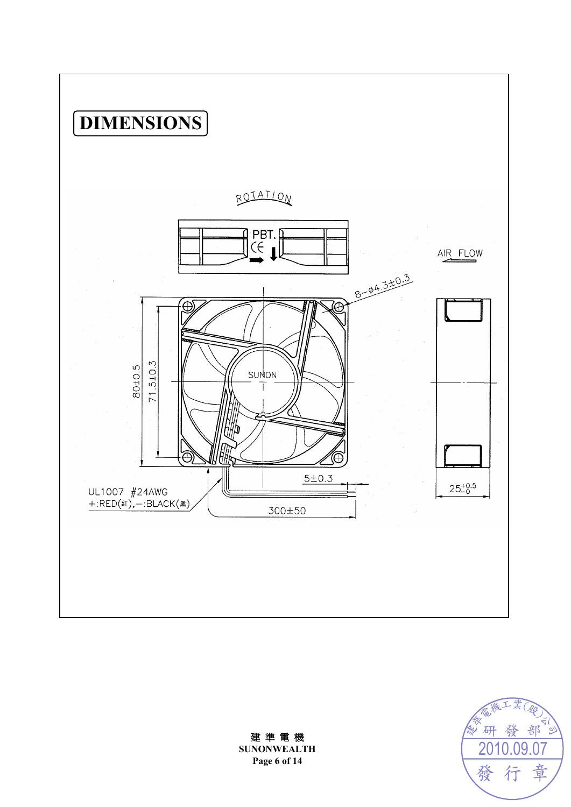



建 準 電 機 **SUNONWEALTH Page 6 of 14**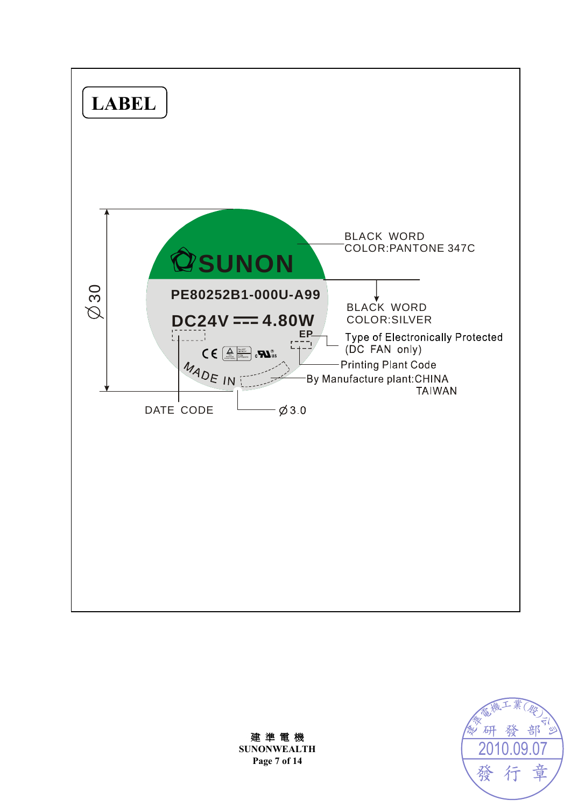



建 準 電 機 **SUNONWEALTH Page 7 of 14**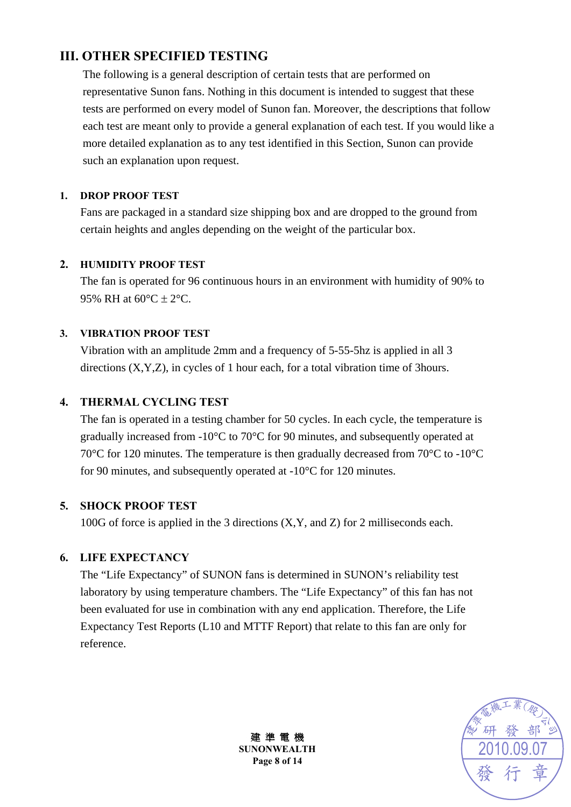### **III. OTHER SPECIFIED TESTING**

The following is a general description of certain tests that are performed on representative Sunon fans. Nothing in this document is intended to suggest that these tests are performed on every model of Sunon fan. Moreover, the descriptions that follow each test are meant only to provide a general explanation of each test. If you would like a more detailed explanation as to any test identified in this Section, Sunon can provide such an explanation upon request.

#### **1. DROP PROOF TEST**

Fans are packaged in a standard size shipping box and are dropped to the ground from certain heights and angles depending on the weight of the particular box.

#### **2. HUMIDITY PROOF TEST**

The fan is operated for 96 continuous hours in an environment with humidity of 90% to 95% RH at  $60^{\circ}$ C  $\pm$  2°C.

#### **3. VIBRATION PROOF TEST**

Vibration with an amplitude 2mm and a frequency of 5-55-5hz is applied in all 3 directions (X,Y,Z), in cycles of 1 hour each, for a total vibration time of 3hours.

#### **4. THERMAL CYCLING TEST**

The fan is operated in a testing chamber for 50 cycles. In each cycle, the temperature is gradually increased from -10°C to 70°C for 90 minutes, and subsequently operated at 70°C for 120 minutes. The temperature is then gradually decreased from 70°C to -10°C for 90 minutes, and subsequently operated at -10°C for 120 minutes.

#### **5. SHOCK PROOF TEST**

100G of force is applied in the 3 directions (X,Y, and Z) for 2 milliseconds each.

#### **6. LIFE EXPECTANCY**

The "Life Expectancy" of SUNON fans is determined in SUNON's reliability test laboratory by using temperature chambers. The "Life Expectancy" of this fan has not been evaluated for use in combination with any end application. Therefore, the Life Expectancy Test Reports (L10 and MTTF Report) that relate to this fan are only for reference.



建 準 電 機 **SUNONWEALTH Page 8 of 14**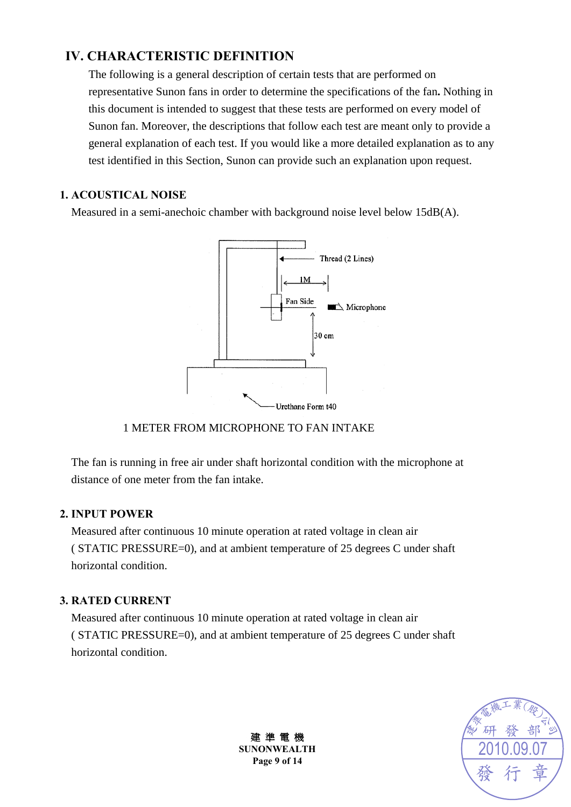### **IV. CHARACTERISTIC DEFINITION**

The following is a general description of certain tests that are performed on representative Sunon fans in order to determine the specifications of the fan**.** Nothing in this document is intended to suggest that these tests are performed on every model of Sunon fan. Moreover, the descriptions that follow each test are meant only to provide a general explanation of each test. If you would like a more detailed explanation as to any test identified in this Section, Sunon can provide such an explanation upon request.

#### **1. ACOUSTICAL NOISE**

Measured in a semi-anechoic chamber with background noise level below 15dB(A).



#### 1 METER FROM MICROPHONE TO FAN INTAKE

The fan is running in free air under shaft horizontal condition with the microphone at distance of one meter from the fan intake.

#### **2. INPUT POWER**

Measured after continuous 10 minute operation at rated voltage in clean air ( STATIC PRESSURE=0), and at ambient temperature of 25 degrees C under shaft horizontal condition.

#### **3. RATED CURRENT**

Measured after continuous 10 minute operation at rated voltage in clean air ( STATIC PRESSURE=0), and at ambient temperature of 25 degrees C under shaft horizontal condition.



建 準 電 機 **SUNONWEALTH Page 9 of 14**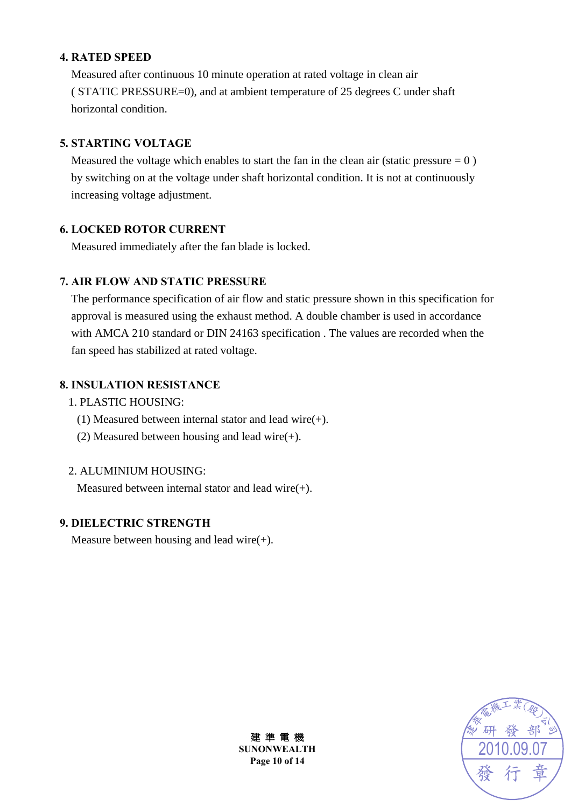#### **4. RATED SPEED**

Measured after continuous 10 minute operation at rated voltage in clean air ( STATIC PRESSURE=0), and at ambient temperature of 25 degrees C under shaft horizontal condition.

#### **5. STARTING VOLTAGE**

Measured the voltage which enables to start the fan in the clean air (static pressure  $= 0$ ) by switching on at the voltage under shaft horizontal condition. It is not at continuously increasing voltage adjustment.

#### **6. LOCKED ROTOR CURRENT**

Measured immediately after the fan blade is locked.

#### **7. AIR FLOW AND STATIC PRESSURE**

The performance specification of air flow and static pressure shown in this specification for approval is measured using the exhaust method. A double chamber is used in accordance with AMCA 210 standard or DIN 24163 specification . The values are recorded when the fan speed has stabilized at rated voltage.

#### **8. INSULATION RESISTANCE**

- 1. PLASTIC HOUSING:
	- (1) Measured between internal stator and lead wire(+).
	- (2) Measured between housing and lead wire $(+)$ .

#### 2. ALUMINIUM HOUSING:

Measured between internal stator and lead wire(+).

#### **9. DIELECTRIC STRENGTH**

Measure between housing and lead wire $(+)$ .



建 準 電 機 **SUNONWEALTH Page 10 of 14**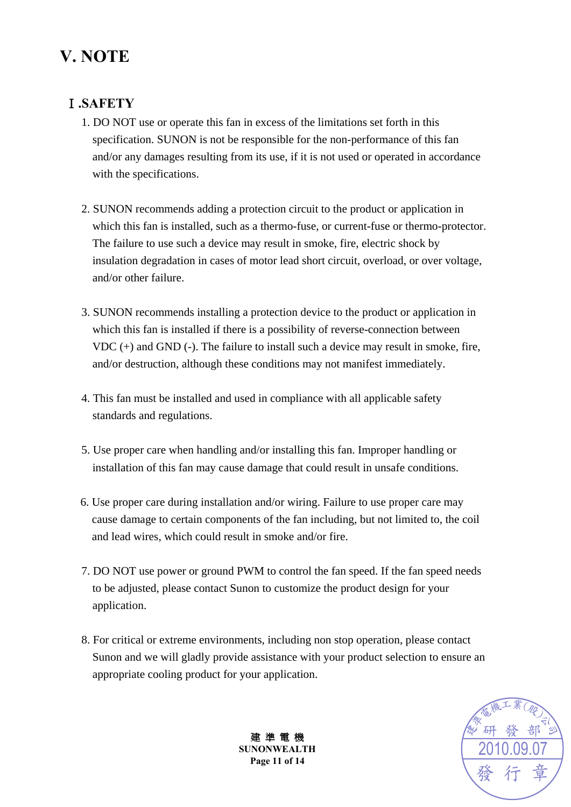## **V. NOTE**

### Ⅰ**.SAFETY**

- 1. DO NOT use or operate this fan in excess of the limitations set forth in this specification. SUNON is not be responsible for the non-performance of this fan and/or any damages resulting from its use, if it is not used or operated in accordance with the specifications.
- 2. SUNON recommends adding a protection circuit to the product or application in which this fan is installed, such as a thermo-fuse, or current-fuse or thermo-protector. The failure to use such a device may result in smoke, fire, electric shock by insulation degradation in cases of motor lead short circuit, overload, or over voltage, and/or other failure.
- 3. SUNON recommends installing a protection device to the product or application in which this fan is installed if there is a possibility of reverse-connection between VDC (+) and GND (-). The failure to install such a device may result in smoke, fire, and/or destruction, although these conditions may not manifest immediately.
- 4. This fan must be installed and used in compliance with all applicable safety standards and regulations.
- 5. Use proper care when handling and/or installing this fan. Improper handling or installation of this fan may cause damage that could result in unsafe conditions.
- 6. Use proper care during installation and/or wiring. Failure to use proper care may cause damage to certain components of the fan including, but not limited to, the coil and lead wires, which could result in smoke and/or fire.
- 7. DO NOT use power or ground PWM to control the fan speed. If the fan speed needs to be adjusted, please contact Sunon to customize the product design for your application.
- 8. For critical or extreme environments, including non stop operation, please contact Sunon and we will gladly provide assistance with your product selection to ensure an appropriate cooling product for your application.



建 準 電 機 **SUNONWEALTH Page 11 of 14**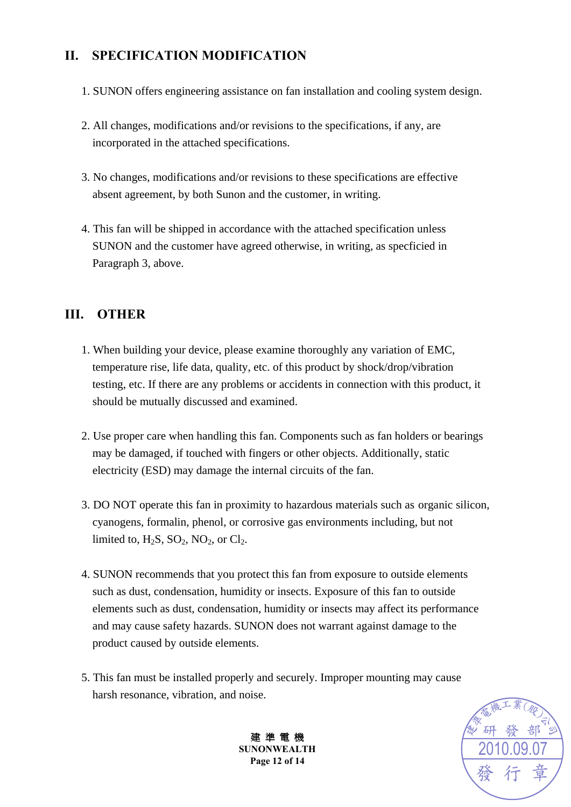### **II. SPECIFICATION MODIFICATION**

- 1. SUNON offers engineering assistance on fan installation and cooling system design.
- 2. All changes, modifications and/or revisions to the specifications, if any, are incorporated in the attached specifications.
- 3. No changes, modifications and/or revisions to these specifications are effective absent agreement, by both Sunon and the customer, in writing.
- 4. This fan will be shipped in accordance with the attached specification unless SUNON and the customer have agreed otherwise, in writing, as specficied in Paragraph 3, above.

### **III. OTHER**

- 1. When building your device, please examine thoroughly any variation of EMC, temperature rise, life data, quality, etc. of this product by shock/drop/vibration testing, etc. If there are any problems or accidents in connection with this product, it should be mutually discussed and examined.
- 2. Use proper care when handling this fan. Components such as fan holders or bearings may be damaged, if touched with fingers or other objects. Additionally, static electricity (ESD) may damage the internal circuits of the fan.
- 3. DO NOT operate this fan in proximity to hazardous materials such as organic silicon, cyanogens, formalin, phenol, or corrosive gas environments including, but not limited to,  $H_2S$ ,  $SO_2$ ,  $NO_2$ , or  $Cl_2$ .
- 4. SUNON recommends that you protect this fan from exposure to outside elements such as dust, condensation, humidity or insects. Exposure of this fan to outside elements such as dust, condensation, humidity or insects may affect its performance and may cause safety hazards. SUNON does not warrant against damage to the product caused by outside elements.
- 5. This fan must be installed properly and securely. Improper mounting may cause harsh resonance, vibration, and noise.



建 準 電 機 **SUNONWEALTH Page 12 of 14**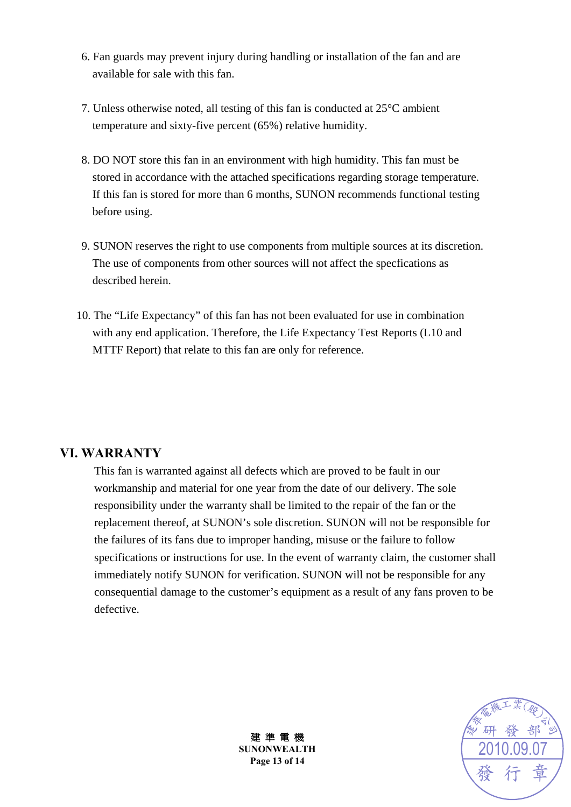- 6. Fan guards may prevent injury during handling or installation of the fan and are available for sale with this fan.
- 7. Unless otherwise noted, all testing of this fan is conducted at 25°C ambient temperature and sixty-five percent (65%) relative humidity.
- 8. DO NOT store this fan in an environment with high humidity. This fan must be stored in accordance with the attached specifications regarding storage temperature. If this fan is stored for more than 6 months, SUNON recommends functional testing before using.
- 9. SUNON reserves the right to use components from multiple sources at its discretion. The use of components from other sources will not affect the specfications as described herein.
- 10. The "Life Expectancy" of this fan has not been evaluated for use in combination with any end application. Therefore, the Life Expectancy Test Reports (L10 and MTTF Report) that relate to this fan are only for reference.

#### **VI. WARRANTY**

This fan is warranted against all defects which are proved to be fault in our workmanship and material for one year from the date of our delivery. The sole responsibility under the warranty shall be limited to the repair of the fan or the replacement thereof, at SUNON's sole discretion. SUNON will not be responsible for the failures of its fans due to improper handing, misuse or the failure to follow specifications or instructions for use. In the event of warranty claim, the customer shall immediately notify SUNON for verification. SUNON will not be responsible for any consequential damage to the customer's equipment as a result of any fans proven to be defective.



建 準 電 機 **SUNONWEALTH Page 13 of 14**